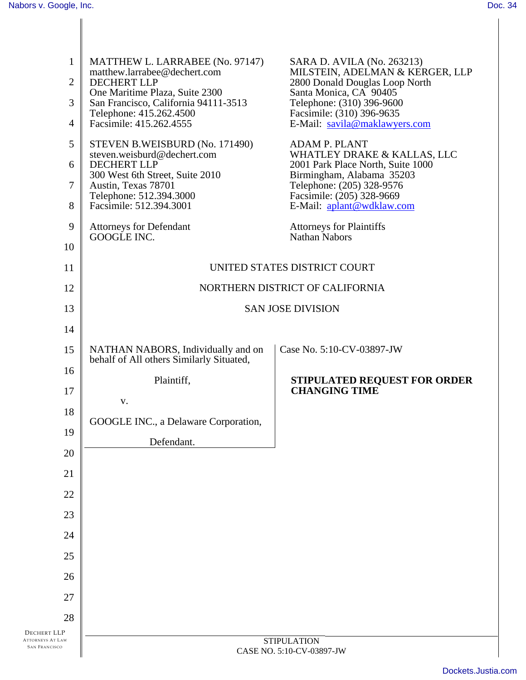| $\mathbf{1}$<br>$\overline{2}$<br>3<br>$\overline{4}$ | MATTHEW L. LARRABEE (No. 97147)<br>matthew.larrabee@dechert.com<br><b>DECHERT LLP</b><br>One Maritime Plaza, Suite 2300<br>San Francisco, California 94111-3513<br>Telephone: 415.262.4500<br>Facsimile: 415.262.4555                                | SARA D. AVILA (No. 263213)<br>MILSTEIN, ADELMAN & KERGER, LLP<br>2800 Donald Douglas Loop North<br>Santa Monica, CA 90405<br>Telephone: (310) 396-9600<br>Facsimile: (310) 396-9635<br>E-Mail: savila@maklawyers.com                                             |
|-------------------------------------------------------|------------------------------------------------------------------------------------------------------------------------------------------------------------------------------------------------------------------------------------------------------|------------------------------------------------------------------------------------------------------------------------------------------------------------------------------------------------------------------------------------------------------------------|
| 5<br>6<br>$\overline{7}$<br>8<br>9<br>10              | STEVEN B.WEISBURD (No. 171490)<br>steven.weisburd@dechert.com<br><b>DECHERT LLP</b><br>300 West 6th Street, Suite 2010<br>Austin, Texas 78701<br>Telephone: 512.394.3000<br>Facsimile: 512.394.3001<br><b>Attorneys for Defendant</b><br>GOOGLE INC. | <b>ADAM P. PLANT</b><br>WHATLEY DRAKE & KALLAS, LLC<br>2001 Park Place North, Suite 1000<br>Birmingham, Alabama 35203<br>Telephone: (205) 328-9576<br>Facsimile: (205) 328-9669<br>E-Mail: aplant@wdklaw.com<br><b>Attorneys for Plaintiffs</b><br>Nathan Nabors |
| 11                                                    | UNITED STATES DISTRICT COURT                                                                                                                                                                                                                         |                                                                                                                                                                                                                                                                  |
| 12                                                    | NORTHERN DISTRICT OF CALIFORNIA                                                                                                                                                                                                                      |                                                                                                                                                                                                                                                                  |
| 13                                                    | <b>SAN JOSE DIVISION</b>                                                                                                                                                                                                                             |                                                                                                                                                                                                                                                                  |
| 14                                                    |                                                                                                                                                                                                                                                      |                                                                                                                                                                                                                                                                  |
| 15                                                    | NATHAN NABORS, Individually and on<br>behalf of All others Similarly Situated,                                                                                                                                                                       | Case No. 5:10-CV-03897-JW                                                                                                                                                                                                                                        |
| 16                                                    | Plaintiff,                                                                                                                                                                                                                                           | <b>STIPULATED REQUEST FOR ORDER</b>                                                                                                                                                                                                                              |
| 17                                                    | V.                                                                                                                                                                                                                                                   | <b>CHANGING TIME</b>                                                                                                                                                                                                                                             |
| 18                                                    | GOOGLE INC., a Delaware Corporation,                                                                                                                                                                                                                 |                                                                                                                                                                                                                                                                  |
| 19                                                    | Defendant.                                                                                                                                                                                                                                           |                                                                                                                                                                                                                                                                  |
| 20                                                    |                                                                                                                                                                                                                                                      |                                                                                                                                                                                                                                                                  |
| 21                                                    |                                                                                                                                                                                                                                                      |                                                                                                                                                                                                                                                                  |
| 22                                                    |                                                                                                                                                                                                                                                      |                                                                                                                                                                                                                                                                  |
| 23                                                    |                                                                                                                                                                                                                                                      |                                                                                                                                                                                                                                                                  |
| 24                                                    |                                                                                                                                                                                                                                                      |                                                                                                                                                                                                                                                                  |
| 25                                                    |                                                                                                                                                                                                                                                      |                                                                                                                                                                                                                                                                  |
| 26<br>27                                              |                                                                                                                                                                                                                                                      |                                                                                                                                                                                                                                                                  |
|                                                       |                                                                                                                                                                                                                                                      |                                                                                                                                                                                                                                                                  |
| 28<br><b>DECHERT LLP</b>                              |                                                                                                                                                                                                                                                      |                                                                                                                                                                                                                                                                  |
| <b>ATTORNEYS AT LAW</b><br><b>SAN FRANCISCO</b>       | <b>STIPULATION</b><br>CASE NO. 5:10-CV-03897-JW                                                                                                                                                                                                      |                                                                                                                                                                                                                                                                  |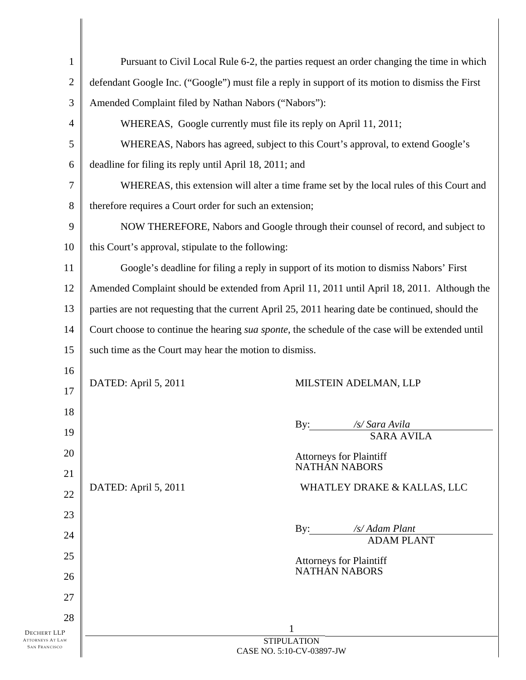| $\mathbf{1}$                                    |                                                                                                          | Pursuant to Civil Local Rule 6-2, the parties request an order changing the time in which |
|-------------------------------------------------|----------------------------------------------------------------------------------------------------------|-------------------------------------------------------------------------------------------|
| $\overline{2}$                                  | defendant Google Inc. ("Google") must file a reply in support of its motion to dismiss the First         |                                                                                           |
| 3                                               | Amended Complaint filed by Nathan Nabors ("Nabors"):                                                     |                                                                                           |
| $\overline{4}$                                  | WHEREAS, Google currently must file its reply on April 11, 2011;                                         |                                                                                           |
| 5                                               | WHEREAS, Nabors has agreed, subject to this Court's approval, to extend Google's                         |                                                                                           |
| 6                                               | deadline for filing its reply until April 18, 2011; and                                                  |                                                                                           |
| 7                                               | WHEREAS, this extension will alter a time frame set by the local rules of this Court and                 |                                                                                           |
| 8                                               | therefore requires a Court order for such an extension;                                                  |                                                                                           |
| 9                                               | NOW THEREFORE, Nabors and Google through their counsel of record, and subject to                         |                                                                                           |
| 10                                              | this Court's approval, stipulate to the following:                                                       |                                                                                           |
| 11                                              | Google's deadline for filing a reply in support of its motion to dismiss Nabors' First                   |                                                                                           |
| 12                                              | Amended Complaint should be extended from April 11, 2011 until April 18, 2011. Although the              |                                                                                           |
| 13                                              | parties are not requesting that the current April 25, 2011 hearing date be continued, should the         |                                                                                           |
| 14                                              | Court choose to continue the hearing <i>sua sponte</i> , the schedule of the case will be extended until |                                                                                           |
| 15                                              | such time as the Court may hear the motion to dismiss.                                                   |                                                                                           |
| 16                                              |                                                                                                          |                                                                                           |
| 17                                              | DATED: April 5, 2011                                                                                     | MILSTEIN ADELMAN, LLP                                                                     |
| 18                                              |                                                                                                          |                                                                                           |
| 19                                              |                                                                                                          | By: /s/ Sara Avila<br><b>SARA AVILA</b>                                                   |
| 20                                              |                                                                                                          | <b>Attorneys for Plaintiff</b>                                                            |
| 21                                              |                                                                                                          | NATHAN NABORS                                                                             |
| 22                                              | DATED: April 5, 2011                                                                                     | WHATLEY DRAKE & KALLAS, LLC                                                               |
| 23                                              |                                                                                                          |                                                                                           |
| 24                                              |                                                                                                          | /s/ Adam Plant<br>By:<br><b>ADAM PLANT</b>                                                |
| 25                                              |                                                                                                          | <b>Attorneys for Plaintiff</b><br><b>NATHAN NABORS</b>                                    |
| 26                                              |                                                                                                          |                                                                                           |
| 27                                              |                                                                                                          |                                                                                           |
| 28<br>DECHERT LLP                               |                                                                                                          |                                                                                           |
| <b>ATTORNEYS AT LAW</b><br><b>SAN FRANCISCO</b> | <b>STIPULATION</b><br>CASE NO. 5:10-CV-03897-JW                                                          |                                                                                           |
|                                                 |                                                                                                          |                                                                                           |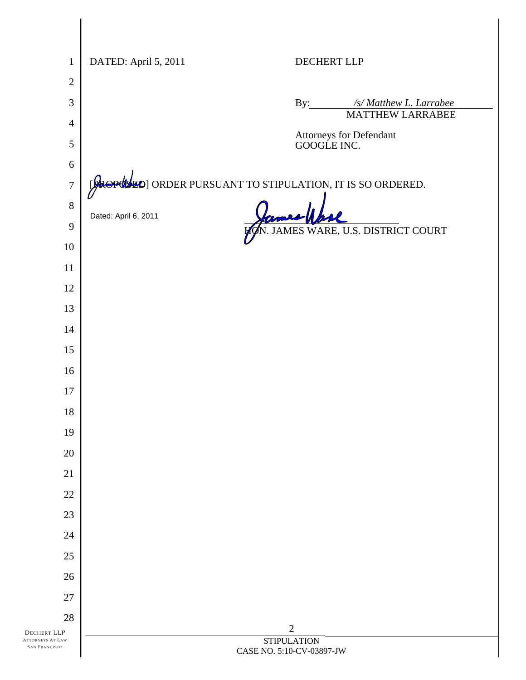